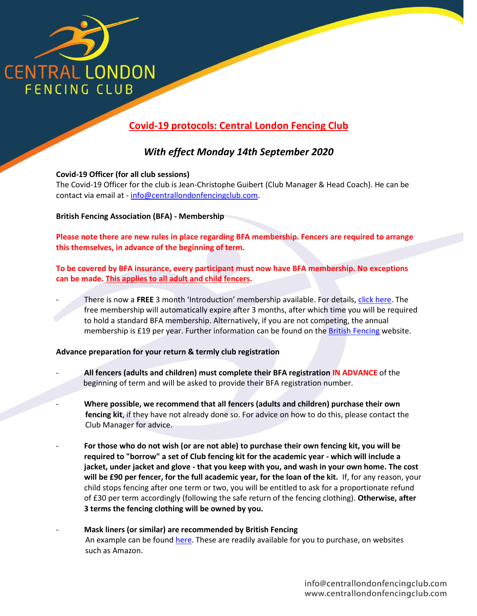

# **Covid-19 protocols: Central London Fencing Club**

## *With effect Monday 14th September 2020*

## **Covid-19 Officer (for all club sessions)**

The Covid-19 Officer for the club is Jean-Christophe Guibert (Club Manager & Head Coach). He can be contact via email at - [info@centrallondonfencingclub.com.](mailto:info@centrallondonfencingclub.com)

**British Fencing Association (BFA) - Membership**

**Please note there are new rules in place regarding BFA membership. Fencers are required to arrange this themselves, in advance of the beginning of term.** 

**To be covered by BFA insurance, every participant must now have BFA membership. No exceptions can be made. This applies to all adult and child fencers.** 

- There is now a **FREE** 3 month 'Introduction' membership available. For details, [click here.](https://www.britishfencing.com/members/membership-info/membership-types/introduction-membership-category/) The free membership will automatically expire after 3 months, after which time you will be required to hold a standard BFA membership. Alternatively, if you are not competing, the annual membership is £19 per year. Further information can be found on the **British Fencing** website.

#### **Advance preparation for your return & termly club registration**

- **All fencers (adults and children) must complete their BFA registration IN ADVANCE** of the beginning of term and will be asked to provide their BFA registration number.
- **Where possible, we recommend that all fencers (adults and children) purchase their own fencing kit**, if they have not already done so. For advice on how to do this, please contact the Club Manager for advice.
- **For those who do not wish (or are not able) to purchase their own fencing kit, you will be required to "borrow" a set of Club fencing kit for the academic year - which will include a jacket, under jacket and glove - that you keep with you, and wash in your own home. The cost will be £90 per fencer, for the full academic year, for the loan of the kit.** If, for any reason, your child stops fencing after one term or two, you will be entitled to ask for a proportionate refund of £30 per term accordingly (following the safe return of the fencing clothing). **Otherwise, after 3 terms the fencing clothing will be owned by you.**
- **Mask liners (or similar) are recommended by British Fencing** An example can be foun[d here.](https://www.amazon.co.uk/YUYT-Headband-Seamless-Resistence-Motorcycling/dp/B08G4SC929/ref=sr_1_10?dchild=1&keywords=fencing+mask+liner&qid=1599058182&sr=8-10&pldnSite=1) These are readily available for you to purchase, on websites such as Amazon.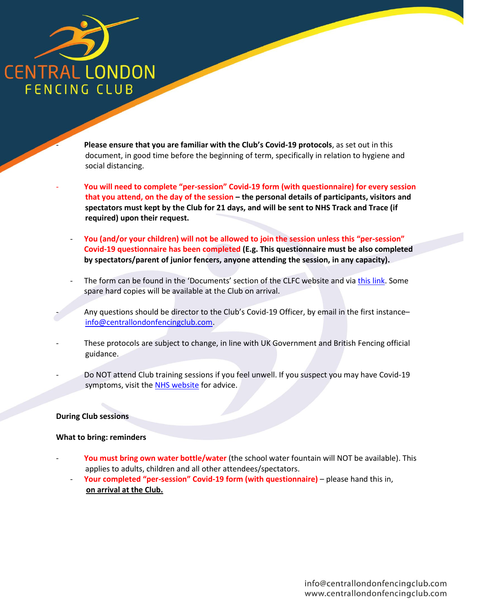

- **Please ensure that you are familiar with the Club's Covid-19 protocols**, as set out in this document, in good time before the beginning of term, specifically in relation to hygiene and social distancing.

- **You will need to complete "per-session" Covid-19 form (with questionnaire) for every session that you attend, on the day of the session – the personal details of participants, visitors and spectators must kept by the Club for 21 days, and will be sent to NHS Track and Trace (if required) upon their request.**
- **You (and/or your children) will not be allowed to join the session unless this "per-session" Covid-19 questionnaire has been completed (E.g. This questionnaire must be also completed by spectators/parent of junior fencers, anyone attending the session, in any capacity).**
- The form can be found in the 'Documents' section of the CLFC website and vi[a this link.](http://www.centrallondonfencingclub.com/documents/covid-19-clfc-per-session-attendance-form-covid-19.pdf) Some spare hard copies will be available at the Club on arrival.
	- Any questions should be director to the Club's Covid-19 Officer, by email in the first instance[info@centrallondonfencingclub.com.](mailto:info@centrallondonfencingclub.com)
- These protocols are subject to change, in line with UK Government and British Fencing official guidance.
- Do NOT attend Club training sessions if you feel unwell. If you suspect you may have Covid-19 symptoms, visit the [NHS website](https://www.nhs.uk/conditions/coronavirus-covid-19/) for advice.

#### **During Club sessions**

#### **What to bring: reminders**

- You must bring own water bottle/water (the school water fountain will NOT be available). This applies to adults, children and all other attendees/spectators.
	- **Your completed "per-session" Covid-19 form (with questionnaire)** please hand this in, **on arrival at the Club.**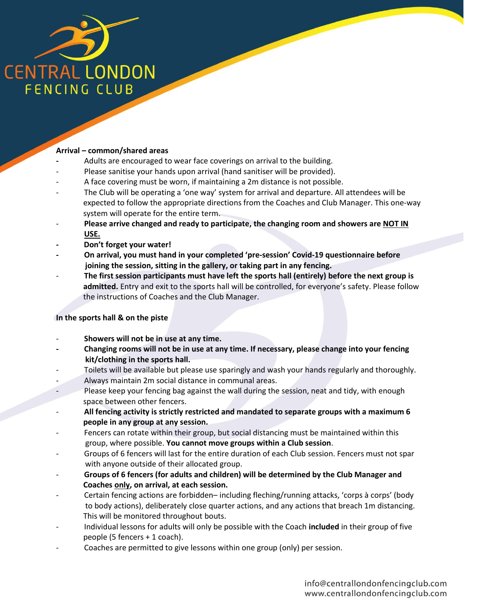

## **Arrival – common/shared areas**

- **-** Adults are encouraged to wear face coverings on arrival to the building.
- Please sanitise your hands upon arrival (hand sanitiser will be provided).
- A face covering must be worn, if maintaining a 2m distance is not possible.
- The Club will be operating a 'one way' system for arrival and departure. All attendees will be expected to follow the appropriate directions from the Coaches and Club Manager. This one-way system will operate for the entire term.
- **Please arrive changed and ready to participate, the changing room and showers are NOT IN USE.**
- **Don't forget your water!**
- **- On arrival, you must hand in your completed 'pre-session' Covid-19 questionnaire before joining the session, sitting in the gallery, or taking part in any fencing.**
- **The first session participants must have left the sports hall (entirely) before the next group is admitted.** Entry and exit to the sports hall will be controlled, for everyone's safety. Please follow the instructions of Coaches and the Club Manager.

#### **In the sports hall & on the piste**

- **Showers will not be in use at any time.**
- **- Changing rooms will not be in use at any time. If necessary, please change into your fencing kit/clothing in the sports hall.**
- Toilets will be available but please use sparingly and wash your hands regularly and thoroughly.
- Always maintain 2m social distance in communal areas.
- Please keep your fencing bag against the wall during the session, neat and tidy, with enough space between other fencers.
- **All fencing activity is strictly restricted and mandated to separate groups with a maximum 6 people in any group at any session.**
- Fencers can rotate within their group, but social distancing must be maintained within this group, where possible. **You cannot move groups within a Club session**.
- Groups of 6 fencers will last for the entire duration of each Club session. Fencers must not spar with anyone outside of their allocated group.
- **Groups of 6 fencers (for adults and children) will be determined by the Club Manager and Coaches only, on arrival, at each session.**
- Certain fencing actions are forbidden– including fleching/running attacks, 'corps à corps' (body to body actions), deliberately close quarter actions, and any actions that breach 1m distancing. This will be monitored throughout bouts.
- Individual lessons for adults will only be possible with the Coach **included** in their group of five people (5 fencers + 1 coach).
- Coaches are permitted to give lessons within one group (only) per session.